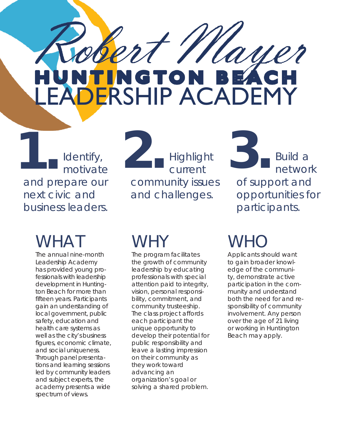NTINGTON BEACH

Identify, motivate and prepare our next civic and business leaders.

# WHAT

The annual nine-month Leadership Academy has provided young professionals with leadership development in Huntington Beach for more than fifteen years. Participants gain an understanding of local government, public safety, education and health care systems as well as the city's business figures, economic climate, and social uniqueness. Through panel presentations and learning sessions led by community leaders and subject experts, the academy presents a wide spectrum of views.

**1. 2. 3.** Highlight current community issues and challenges.

Build a network of support and opportunities for participants.

# WHY

The program facilitates the growth of community leadership by educating professionals with special attention paid to integrity, vision, personal responsibility, commitment, and community trusteeship. The class project affords each participant the unique opportunity to develop their potential for public responsibility and leave a lasting impression on their community as they work toward advancing an organization's goal or solving a shared problem.

# WHC

t Mayer

Applicants should want to gain broader knowledge of the community, demonstrate active participation in the community and understand both the need for and responsibility of community involvement. Any person over the age of 21 living or working in Huntington Beach may apply.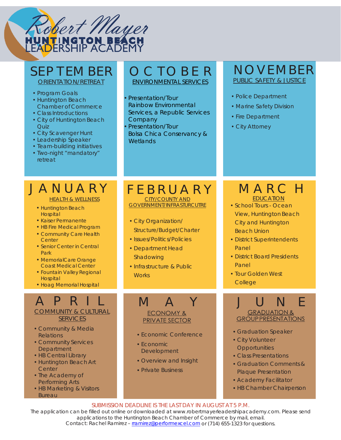

## SEP T EM BER

ORIENTATION/RETREAT

- Program Goals
- Huntington Beach Chamber of Commerce
- Class Introductions
- City of Huntington Beach Quiz
- City Scavenger Hunt
- Leadership Speaker
- Team-building initiatives
- Two-night "mandatory" retreat

## O C T O B E R

ENVIRONMENTAL SERVICES

- •Presentation/Tour Rainbow Environmental Services, a Republic Services Company
- •Presentation/Tour Bolsa Chica Conservancy & **Wetlands**

## NOVEMBER PUBLIC SAFETY & JUSTICE

- Police Department
- Marine Safety Division
- Fire Department
- City Attorney

## J A N U A R Y

**HEALTH & WELLNESS** 

- Huntington Beach **Hospital**
- Kaiser Permanente
- HB Fire Medical Program • Community Care Health
- Center
- Senior Center in Central Park
- MemorialCare Orange Coast Medical Center
- Fountain Valley Regional **Hospital**
- Hoag Memorial Hospital

## A P R I L COMMUNITY & CULTURAL

SERVICES

- Community & Media Relations
- Community Services **Department**
- HB Central Library
- Huntington Beach Art **Center**
- The Academy of Performing Arts
- HB Marketing & Visitors **Bureau**

### F E B R U A R Y CITY/COUNTY AND GOVERNMENT/INFRASTURCUTRE

- City Organization/ Structure/Budget/Charter
- Issues/Politics/Policies
- Department Head Shadowing
- Infrastructure & Public **Works**

# **ECONOMY &**

## PRIVATE SECTOR

- Economic Conference
- Economic Development
- Overview and Insight
- Private Business

## M A R C H **EDUCATION**

- School Tours Ocean View, Huntington Beach City and Huntington Beach Union
- District Superintendents Panel
- District Board Presidents Panel
- Tour Golden West **College**

#### M A Y J J U N E J U **GRADUATION & GROUP PRESENTATIONS**

- Graduation Speaker
- City Volunteer **Opportunities**
- Class Presentations
- Graduation Comments & Plaque Presentation
- Academy Facilitator
- HB Chamber Chairperson

SUBMISSION DEADLINE IS THE LAST DAY IN AUGUST AT 5 P.M.

The application can be filled out online or downloaded at [www.robertmayerleadershipacademy.com. P](http://www.robertmayerleadershipacademy.com/)lease send applications to the Huntington Beach Chamber of Commerce by mail, email. Contact: Rachel Ramirez [– rramirez@performexcel.com](mailto:rramirez@performexcel.com) or (714) 655-1323 for questions.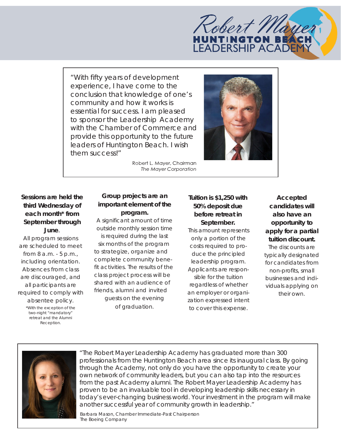# Robert Mt **HUNTINGTON BEAT**

"With fifty years of development experience, I have come to the conclusion that knowledge of one's community and how it works is essential for success. I am pleased to sponsor the Leadership Academy with the Chamber of Commerce and provide this opportunity to the future leaders of Huntington Beach. I wish them success!"



Robert L. Mayer, Chairman The Mayer Corporation

### **Sessions are held the third Wednesday of each month\* from September through June**.

All program sessions are scheduled to meet from 8 a.m. - 5 p.m., including orientation. Absences from class are discouraged, and all participants are required to comply with

absentee policy. \*With the exception of the two-night "mandatory" retreat and the Alumni Reception.

#### **Group projects are an important element of the program.**

A significant amount of time outside monthly session time is required during the last six months of the program to strategize, organize and complete community benefit activities. The results of the class project process will be shared with an audience of

friends, alumni and invited guests on the evening of graduation.

#### **Tuition is \$1,250 with 50% deposit due before retreat in September.**

This amount represents only a portion of the costs required to produce the principled leadership program. Applicants are responsible for the tuition regardless of whether an employer or organization expressed intent to cover this expense.

**Accepted candidates will also have an opportunity to apply for a partial tuition discount.** The discounts are typically designated for candidates from non-profits, small businesses and individuals applying on their own.



"The Robert Mayer Leadership Academy has graduated more than 300 professionals from the Huntington Beach area since its inaugural class. By going through the Academy, not only do you have the opportunity to create your own network of community leaders, but you can also tap into the resources from the past Academy alumni. The Robert Mayer Leadership Academy has proven to be an invaluable tool in developing leadership skills necessary in today's ever-changing business world. Your investment in the program will make another successful year of community growth in leadership."

Barbara Mason, Chamber Immediate-Past Chairperson *The Boeing Company*